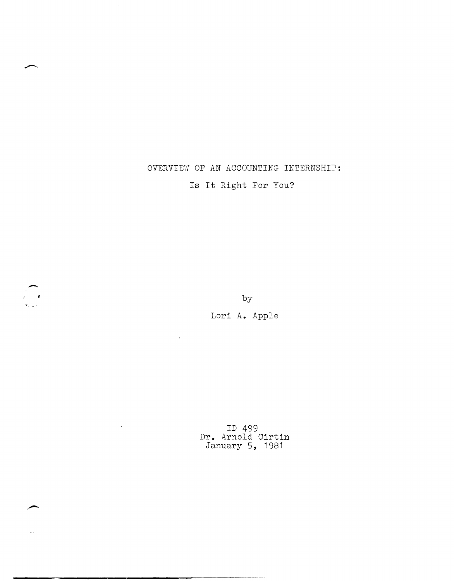# OVERVIEW OF AN ACCOUNTING INTERNSHIP:

Is It Right For You?



by

Lori **A.** Apple

 $\sim 10^{-1}$ 

 $\sim 10^{-10}$ 

ID 499 Dr. Arnold Cirtin January 5, 1981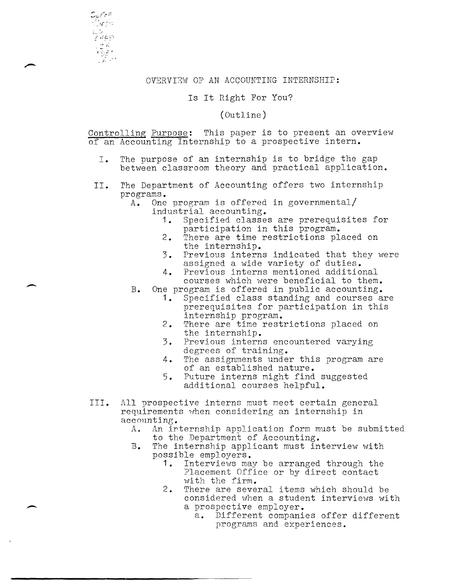

-.

#### OVERVIEW OF AN ACCOUNTING INTERNSHIP:

# Is It Right For You?

(Outline)

Controlling Purpose: This paper is to present an overview of an Accounting Internship to a prospective intern.

- I. The purpose of an internship is to bridge the gap between classroom theory and practical application.
- II. The Department of Accounting offers two internship programs.

A. One program is offered in governmental/ industrial accounting.<br>1. Specified classe

- **1.** Specified classes are prerequisites for participation in this program.
- 2. There are time restrictions placed on the internship.
- 3. Previous interns indicated that they were assigned a wide variety of duties.
- 4. Previous interns mentioned additional courses which were beneficial to them.
- B. One program is offered in public accounting.<br>1. Specified class standing and courses a
	- **1.** Specified class standing and courses are prerequisites for participation in this internship program.
	- 2. There are time restrictions placed on the internship.
	- 3. Previous interns encountered varying degrees of training.
	- 4. The assignments under this program are of an established nature.
	- 5. Future interns might find suggested additional courses helpful.
- III. All prospective interns must meet certain general requirements when considering an internship in accounting.
	- A. An internship application form must be submitted to the Department of Accounting.
	- B. The internship applicant must interview with possible employers.<br>1. Interviews ma
		- Interviews may be arranged through the Placement Office or by direct contact with the firm.
		- 2. There are several items which should be considered when a student interviews with a prospective employer.
			- a. Different companies offer different programs and experiences.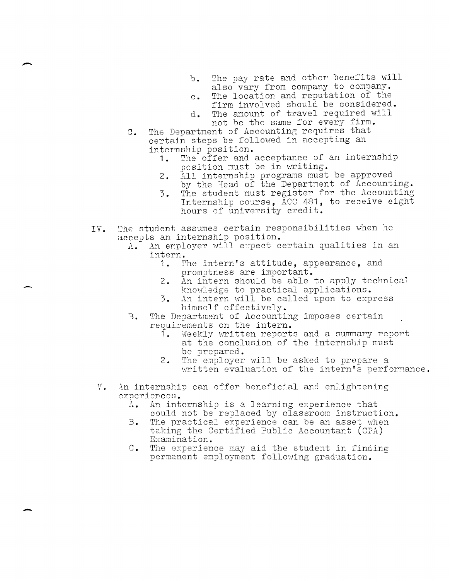- b. The pay rate and other benefits will also vary from company to company.
- **c.** The location and reputation of the firm involved should be considered.
- **d.** The amount of travel required will not be the same for every firm.
- **C.** The Department of Accounting requires that certain steps be followed in accepting an internship position.
	- **1.** The offer and acceptance of an internship position must be in writing.
	- 2. All internship programs must be approved by the Head of the Department of Accounting.
	- 3. The student must register for the Accounting Internship course,  $\overline{ACC}$  481, to receive eight hours of university credit.
- IV. The student assumes certain responsibilities when he accepts an internship position.
	- A. An employer will expect certain qualities in an intern.<br>1. T
		- The intern's attitude, appearance, and promptness are important.
		- **2.** An intern should be able to apply technical knovIledge to practical applications.
		- 3. An intern will be called upon to express himself effectively.
	- B. The Department of Accounting imposes certain requirements on the intern.<br>1. Weekly written report
		- Meekly written reports and a summary report at the conclusion of the internship must be prepared.
		- 2. The employer will be asked to prepare a written evaluation of the intern's performance.
	- *v*  , . An internship can offer beneficial and enlightening experiences.
		- **A.** An internship is a learning experience that could not be replaced by classroom instruction.
		- B. The practical experience can be an asset when taking the Certified Public Accountant (CPA) Examination.
		- **C.** The experience may aid the student in finding permanent employment following graduation.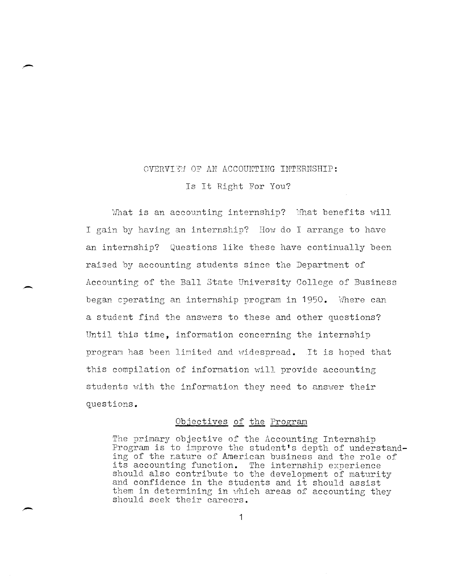### OVERVIEW OF AN ACCOUNTING INTERNSHIP:

Is It Right For You?

What is an accounting internship? What benefits will I gain by having an internship? How do I arrange to have an internship? Questions like these have continually been raised by accounting students since the Department of Accounting of the Ball State University College of Business began operating an internship program in 1950. Where can a student find the answers to these and other questions? Until this time, information concerning the internship program has been limited and widespread. It is hoped that this compilation of information will provide accounting students with the information they need to answer their questions.

# Objectives of the Program

The primary objective of the Accounting Internship Program is to improve the student's depth of understanding of the nature of American business and the role of its accounting function. The internship experience<br>should also contribute to the development of maturity and confidence in the students and it should assist them in determining in which areas of accounting they should seek their careers.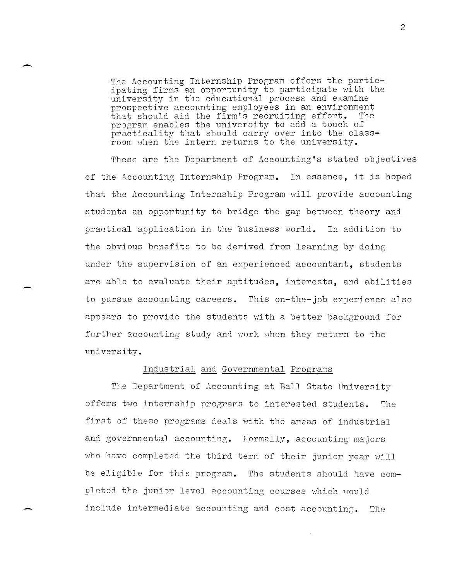The Accounting Internship Program offers the participating firms an opportunity to participate with the university in the educational process and examine prospective accounting employees in an environment that should aid the firm's recruiting effort. The program enables the university to add a touch of practicality that should carry over into the classroom when the intern returns to the university.

These are the Department of Accounting's stated objectives of the Accounting Internship Program. In essence, it is hoped that the Accounting Internship Program will provide accounting students an opportunity to bridge the gap between theory and practical application in the business world. In addition to the obvious benefits to be derived from learning by doing under the supervision of an experienced accountant, students are able to evaluate their aptitudes, interests, and abilities to pursue accounting careers. This on-the-job experience also appears to provide the students with a better background for further accounting study and work when they return to the university.

#### Industrial and Governmental Programs

The Department of Accounting at Ball State University offers two internship programs to interested students. **The** first of these programs deals with the areas of industrial and governmental accounting. Normally, accounting majors who have completed the third term of their junior year will be eligible for this program. The students should have completed the junior level accounting courses which would include intermediate accounting and cost accounting. The

 $\mathcal{P}$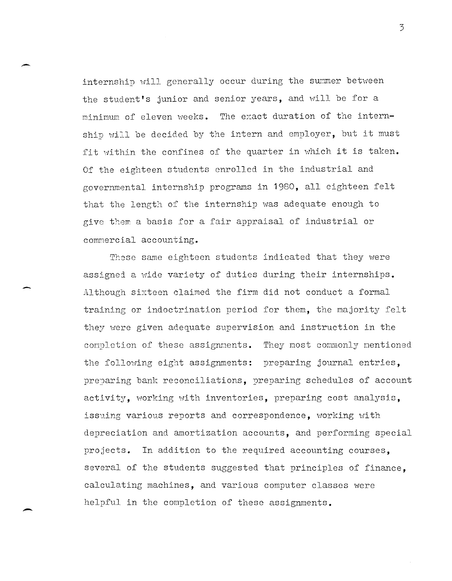internship will generally occur during the summer between the student's junior and senior years, and will be for a minimum of eleven weeks. The exact duration of the internship will be decided by the intern and employer, but it must fit within the confines of the quarter in which it is taken. Of the eighteen students enrolled in the industrial and governmental internship programs in 1980, all eighteen felt that the length of the internship was adequate enough to give them a basis for a fair appraisal of industrial or commercial accounting.

These same eighteen students indicated that they were assigned a wide variety of duties during their internships. Although sixteen claimed the firm did not conduct a formal training or indoctrination period for them, the majority felt they were given adequate supervision and instruction in the completion of these assignments. They most commonly mentioned the following eight assignments: preparing journal entries, preparing bank reconciliations. preparing schedules of account activity. working with inventories, preparing cost analysis. issuing various reports and correspondence. working with depreciation and amortization accounts, and performing special projects. In addition to the required accounting courses, several of the students suggested that principles of finance. calculating machines, and various computer classes were helpful in the completion of these assignments.

 $\overline{3}$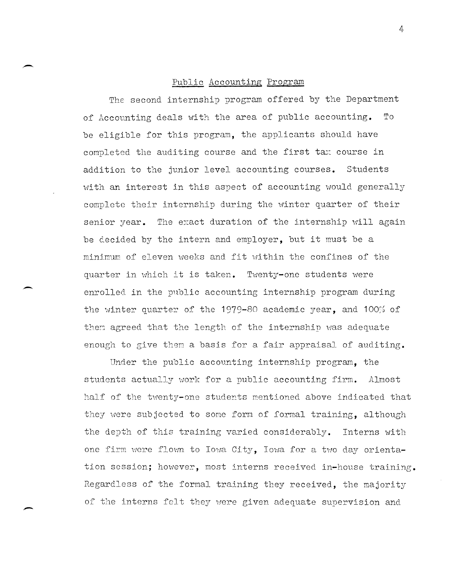# Public Accounting Program

,-

 $\overline{\phantom{0}}$ 

-

The second internship program offered by the Department of Accounting deals with the area of public accounting. To be eligible for this program, the applicants should have completed the auditing course and the first tax course in addition to the junior level accounting courses. Students with an interest in this aspect of accounting would generally complete their internship during the winter quarter of their senior year. The exact duration of the internship will again be decided by the intern and employer, but it must be a minimum of eleven weeks and fit within the confines of the quarter in which it is taken. Twenty-one students were enrolled in the public accounting internship program during the winter quarter of the 1979-80 academic year, and 100% of them agreed that the length of the internship was adequate enough to give then a basis for a fair appraisal of auditing.

Under the public accounting internship program, the students actually work for a public accounting firm. Almost half of the twenty-one students mentioned above indicated that they were subjected to some form of formal training, although the depth of this training varied considerably. Interns with one firm were flown to Iowa City, Iowa for a two day orientation session; however, most interns received in-house training. Regardless of the formal training they received, the majority of the interns felt they were given adequate supervision and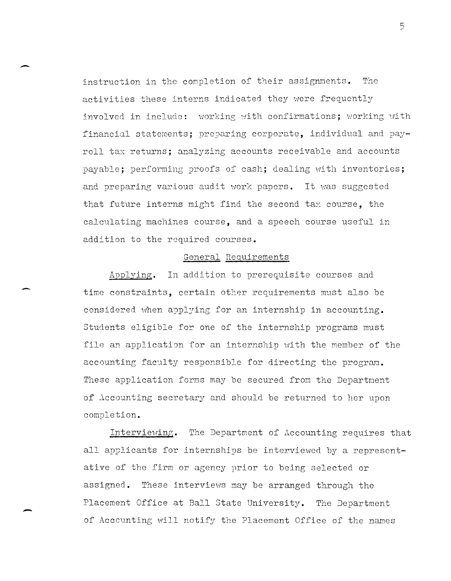instruction in the completion of their assignments. The activities these interns indicated they were frequently involved in include: working with confirmations; working with financial statements; preparing corporate, individual and payroll tax returns; analyzing accounts receivable and accounts payable; performing proofs of cash; dealing with inventories; and preparing various audit work papers. It was suggested that future interns might find the second tax course, the calculating machines course, and a speech course useful in addition to the required courses.

## General Requirements

In addition to prerequisite courses and Applying. time constraints, certain other requirements must also be considered when applying for an internship in accounting. Students eligible for one of the internship programs must file an application for an internship with the member of the accounting faculty responsible for directing the program. These application forms may be secured from the Department of Accounting secretary and should be returned to her upon completion.

Interviewing. The Department of Accounting requires that all applicants for internships be interviewed by a representative of the firm or agency prior to being selected or assigned. These interviews may be arranged through the Placement Office at Ball State University. The Department of Accounting will notify the Placement Office of the names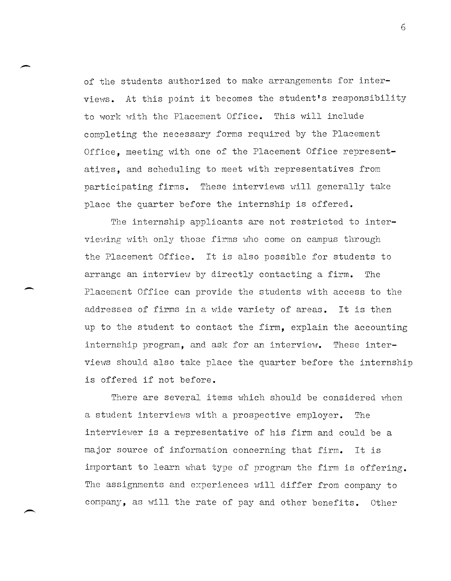of the students authorized to make arrangements for interviews. At this point it becomes the student's responsibility to work with the Placement Office. This will include completing the necessary forms required by the Placement Office, meeting with one of the Placement Office representatives, and scheduling to meet with representatives from participating firms. These interviews will generally take place the quarter before the internship is offered.

The internship applicants are not restricted to interviewing with only those firms who come on campus through the Placement Office. It is also possible for students to arrange an interview by directly contacting a firm. The Placenent Office can provide the students with access to the addresses of firms in a wide variety of areas. It is then up to the student to contact the firm, explain the accounting internship program, and ask for an interview. These interviews should also take place the quarter before the internship is offered if not before.

-

There are several items which should be considered when a student interviews with a prospective employer. The interviewer is a representative of his firm and could be a major source of information concerning that firm. It is inportant to learn what type of program the firm is offering. The assignments and experiences will differ from company to conpany, as will the rate of pay and other benefits. Other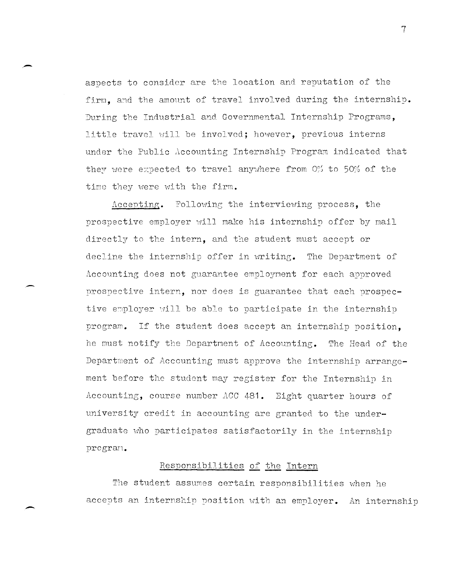aspects to consider are the location and reputation of the firm, and the amount of travel involved during the internship. During the Industrial and Governmental Internship Programs, little travel will be involved; however, previous interns under the Public Accounting Internship Program indicated that they were expected to travel anywhere from 0% to 50% of the time they were with the firm.

Accepting. Following the interviewing process, the prospective employer will make his internship offer by mail directly to the intern, and the student must accept or decline the internship offer in writing. The Department of Accounting does not guarantee employment for each approved prospective intern, nor does is guarantee that each prospective employer will be able to participate in the internship program. If the student does accept an internship position, he must notify the Department of Accounting. The Head of the Department of Accounting must approve the internship arrangement before the student may register for the Internship in Accounting, course number *ACC* 481. Eight quarter hours of university credit in accounting are granted to the undergraduate who participates satisfactorily in the internship program.

#### Responsibilities of the Intern

-

The student assumes certain responsibilities when he accepts an internship position with an employer. An internship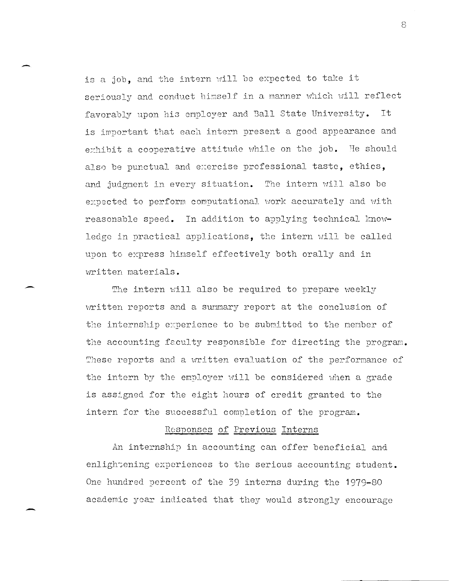is a job, and the intern will be expected to take it seriously and conduct himself in a manner which will reflect favorably upon his employer and Ball State University. It is important that each intern present a good appearance and exhibit a cooperative attitude while on the job. He should also be punctual and exercise professional taste, ethics, and judgment in every situation. The intern will also be expected to perform computational work accurately and with reasonable speed. In addition to applying technical knowledge in practical applications. the intern will be called upon to express himself effectively both orally and in written materials.

The intern will also be required to prepare weekly written reports and a summary report at the conclusion of the internship experience to be submitted to the member of the accounting faculty responsible for directing the program. These reports and a written evaluation of the performance of the intern by the employer will be considered when a grade is assigned for the eight hours of credit granted to the intern for the successful completion of the program.

## Responses of Previous Interns

An internship in accounting can offer beneficial and enlightening experiences to the serious accounting student. One hundred percent of the 39 interns during the 1979-80 academic year indicated that they would strongly encourage